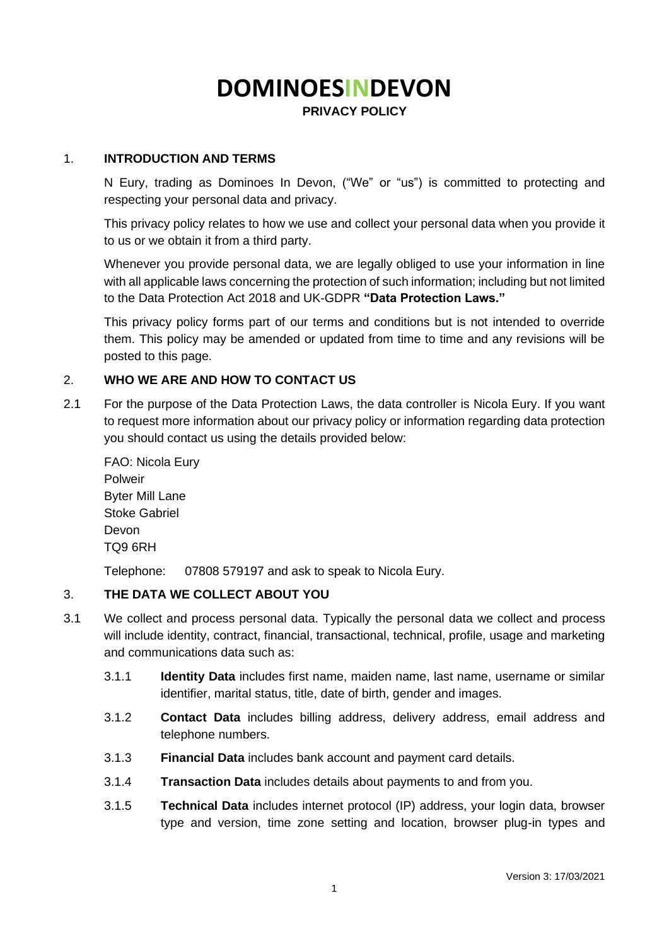# **DOMINOESINDEVON**

**PRIVACY POLICY**

## 1. **INTRODUCTION AND TERMS**

N Eury, trading as Dominoes In Devon, ("We" or "us") is committed to protecting and respecting your personal data and privacy.

This privacy policy relates to how we use and collect your personal data when you provide it to us or we obtain it from a third party.

Whenever you provide personal data, we are legally obliged to use your information in line with all applicable laws concerning the protection of such information; including but not limited to the Data Protection Act 2018 and UK-GDPR **"Data Protection Laws."**

This privacy policy forms part of our terms and conditions but is not intended to override them. This policy may be amended or updated from time to time and any revisions will be posted to this page.

## 2. **WHO WE ARE AND HOW TO CONTACT US**

2.1 For the purpose of the Data Protection Laws, the data controller is Nicola Eury. If you want to request more information about our privacy policy or information regarding data protection you should contact us using the details provided below:

FAO: Nicola Eury Polweir Byter Mill Lane Stoke Gabriel Devon TQ9 6RH

Telephone: 07808 579197 and ask to speak to Nicola Eury.

## 3. **THE DATA WE COLLECT ABOUT YOU**

- 3.1 We collect and process personal data. Typically the personal data we collect and process will include identity, contract, financial, transactional, technical, profile, usage and marketing and communications data such as:
	- 3.1.1 **Identity Data** includes first name, maiden name, last name, username or similar identifier, marital status, title, date of birth, gender and images.
	- 3.1.2 **Contact Data** includes billing address, delivery address, email address and telephone numbers.
	- 3.1.3 **Financial Data** includes bank account and payment card details.
	- 3.1.4 **Transaction Data** includes details about payments to and from you.
	- 3.1.5 **Technical Data** includes internet protocol (IP) address, your login data, browser type and version, time zone setting and location, browser plug-in types and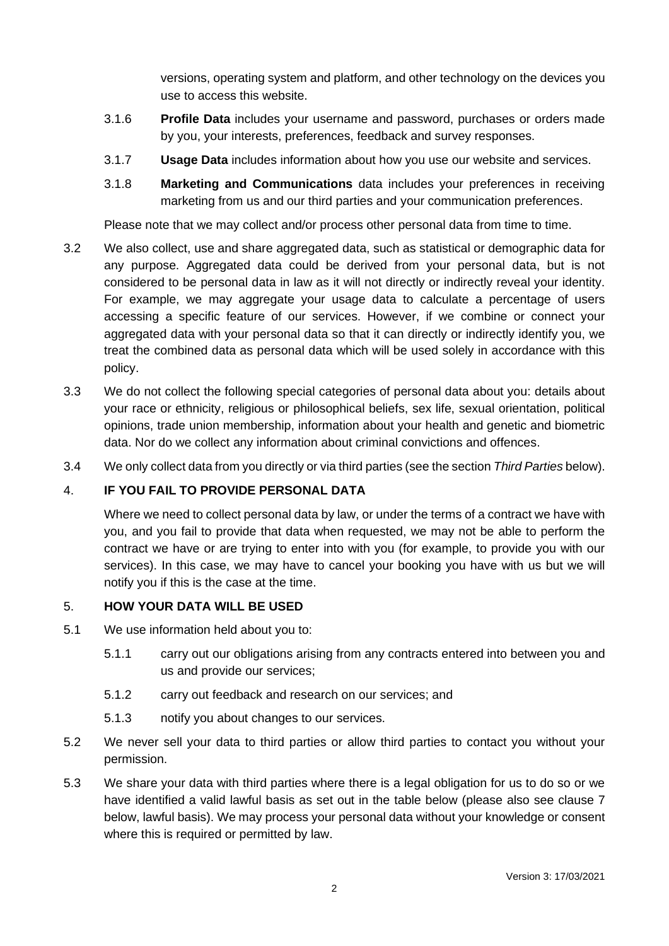versions, operating system and platform, and other technology on the devices you use to access this website.

- 3.1.6 **Profile Data** includes your username and password, purchases or orders made by you, your interests, preferences, feedback and survey responses.
- 3.1.7 **Usage Data** includes information about how you use our website and services.
- 3.1.8 **Marketing and Communications** data includes your preferences in receiving marketing from us and our third parties and your communication preferences.

Please note that we may collect and/or process other personal data from time to time.

- 3.2 We also collect, use and share aggregated data, such as statistical or demographic data for any purpose. Aggregated data could be derived from your personal data, but is not considered to be personal data in law as it will not directly or indirectly reveal your identity. For example, we may aggregate your usage data to calculate a percentage of users accessing a specific feature of our services. However, if we combine or connect your aggregated data with your personal data so that it can directly or indirectly identify you, we treat the combined data as personal data which will be used solely in accordance with this policy.
- 3.3 We do not collect the following special categories of personal data about you: details about your race or ethnicity, religious or philosophical beliefs, sex life, sexual orientation, political opinions, trade union membership, information about your health and genetic and biometric data. Nor do we collect any information about criminal convictions and offences.
- 3.4 We only collect data from you directly or via third parties (see the section *Third Parties* below).

# 4. **IF YOU FAIL TO PROVIDE PERSONAL DATA**

Where we need to collect personal data by law, or under the terms of a contract we have with you, and you fail to provide that data when requested, we may not be able to perform the contract we have or are trying to enter into with you (for example, to provide you with our services). In this case, we may have to cancel your booking you have with us but we will notify you if this is the case at the time.

## 5. **HOW YOUR DATA WILL BE USED**

- 5.1 We use information held about you to:
	- 5.1.1 carry out our obligations arising from any contracts entered into between you and us and provide our services;
	- 5.1.2 carry out feedback and research on our services; and
	- 5.1.3 notify you about changes to our services.
- 5.2 We never sell your data to third parties or allow third parties to contact you without your permission.
- 5.3 We share your data with third parties where there is a legal obligation for us to do so or we have identified a valid lawful basis as set out in the table below (please also see clause 7 below, lawful basis). We may process your personal data without your knowledge or consent where this is required or permitted by law.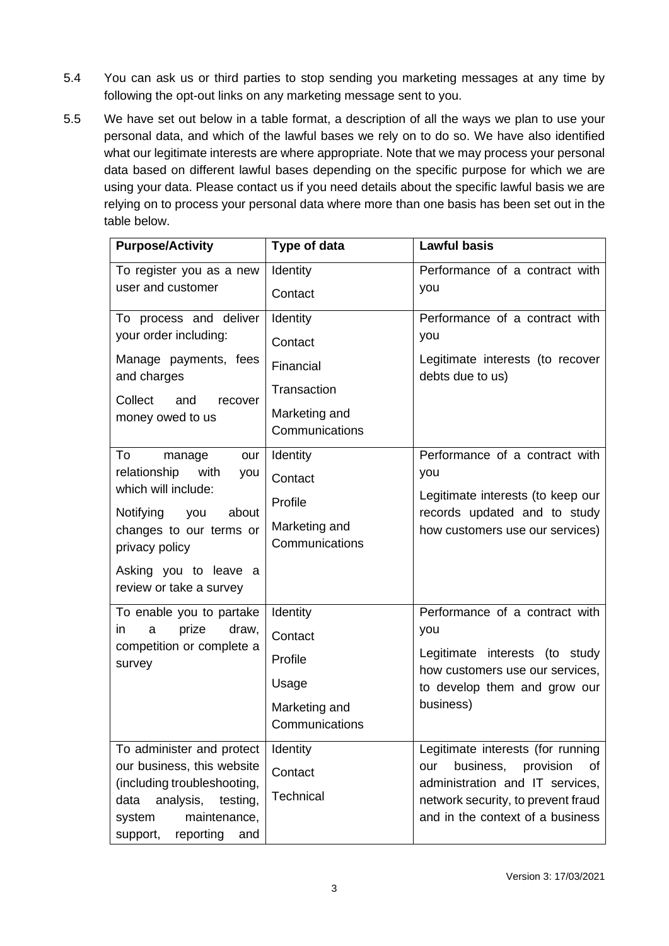- 5.4 You can ask us or third parties to stop sending you marketing messages at any time by following the opt-out links on any marketing message sent to you.
- 5.5 We have set out below in a table format, a description of all the ways we plan to use your personal data, and which of the lawful bases we rely on to do so. We have also identified what our legitimate interests are where appropriate. Note that we may process your personal data based on different lawful bases depending on the specific purpose for which we are using your data. Please contact us if you need details about the specific lawful basis we are relying on to process your personal data where more than one basis has been set out in the table below.

| <b>Purpose/Activity</b>                                           | Type of data                    | <b>Lawful basis</b>                                                    |
|-------------------------------------------------------------------|---------------------------------|------------------------------------------------------------------------|
| To register you as a new                                          | Identity                        | Performance of a contract with                                         |
| user and customer                                                 | Contact                         | you                                                                    |
| To process and deliver                                            | Identity                        | Performance of a contract with                                         |
| your order including:                                             | Contact                         | you                                                                    |
| Manage payments, fees<br>and charges                              | Financial                       | Legitimate interests (to recover<br>debts due to us)                   |
| Collect<br>and<br>recover                                         | Transaction                     |                                                                        |
| money owed to us                                                  | Marketing and<br>Communications |                                                                        |
| To<br>manage<br>our                                               | <b>Identity</b>                 | Performance of a contract with                                         |
| relationship<br>with<br>you<br>which will include:                | Contact                         | you                                                                    |
|                                                                   | Profile                         | Legitimate interests (to keep our                                      |
| Notifying<br>about<br>you<br>changes to our terms or              | Marketing and                   | records updated and to study<br>how customers use our services)        |
| privacy policy                                                    | Communications                  |                                                                        |
| Asking you to leave a<br>review or take a survey                  |                                 |                                                                        |
| To enable you to partake                                          | Identity                        | Performance of a contract with                                         |
| prize<br>draw,<br>in.<br>a<br>competition or complete a<br>survey | Contact                         | you                                                                    |
|                                                                   | Profile                         | Legitimate interests (to study<br>how customers use our services,      |
|                                                                   | Usage                           | to develop them and grow our                                           |
|                                                                   | Marketing and                   | business)                                                              |
|                                                                   | Communications                  |                                                                        |
| To administer and protect                                         | Identity                        | Legitimate interests (for running                                      |
| our business, this website<br>(including troubleshooting,         | Contact                         | business,<br>provision<br>our<br>0f<br>administration and IT services, |
| analysis,<br>testing,<br>data                                     | Technical                       | network security, to prevent fraud                                     |
| maintenance,<br>system                                            |                                 | and in the context of a business                                       |
| reporting<br>support,<br>and                                      |                                 |                                                                        |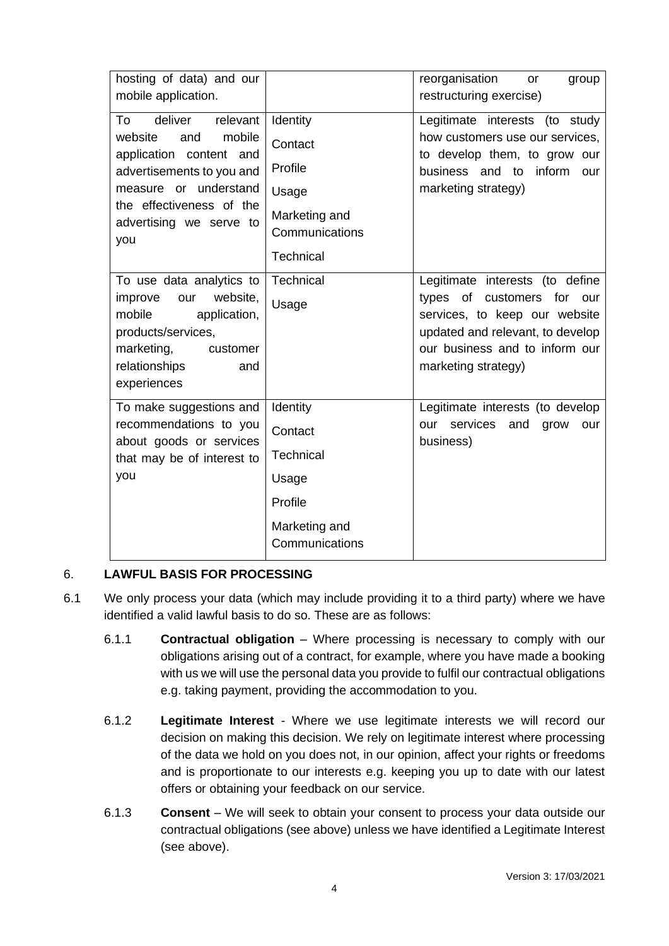| hosting of data) and our<br>mobile application.                                                                                                                                                      |                                                                                                | reorganisation<br>group<br><b>or</b><br>restructuring exercise)                                                                                                                             |
|------------------------------------------------------------------------------------------------------------------------------------------------------------------------------------------------------|------------------------------------------------------------------------------------------------|---------------------------------------------------------------------------------------------------------------------------------------------------------------------------------------------|
| deliver<br>relevant<br>To<br>mobile<br>website<br>and<br>application content and<br>advertisements to you and<br>measure or understand<br>the effectiveness of the<br>advertising we serve to<br>you | Identity<br>Contact<br>Profile<br>Usage<br>Marketing and<br>Communications<br><b>Technical</b> | Legitimate interests (to study<br>how customers use our services,<br>to develop them, to grow our<br>business and to inform our<br>marketing strategy)                                      |
| To use data analytics to<br>website,<br>improve<br>our<br>mobile<br>application,<br>products/services,<br>marketing,<br>customer<br>relationships<br>and<br>experiences                              | Technical<br>Usage                                                                             | Legitimate interests (to define<br>types of customers for our<br>services, to keep our website<br>updated and relevant, to develop<br>our business and to inform our<br>marketing strategy) |
| To make suggestions and<br>recommendations to you<br>about goods or services<br>that may be of interest to<br>you                                                                                    | Identity<br>Contact<br><b>Technical</b><br>Usage<br>Profile<br>Marketing and<br>Communications | Legitimate interests (to develop<br>services<br>and<br>our<br>grow<br>our<br>business)                                                                                                      |

# 6. **LAWFUL BASIS FOR PROCESSING**

- 6.1 We only process your data (which may include providing it to a third party) where we have identified a valid lawful basis to do so. These are as follows:
	- 6.1.1 **Contractual obligation** Where processing is necessary to comply with our obligations arising out of a contract, for example, where you have made a booking with us we will use the personal data you provide to fulfil our contractual obligations e.g. taking payment, providing the accommodation to you.
	- 6.1.2 **Legitimate Interest**  Where we use legitimate interests we will record our decision on making this decision. We rely on legitimate interest where processing of the data we hold on you does not, in our opinion, affect your rights or freedoms and is proportionate to our interests e.g. keeping you up to date with our latest offers or obtaining your feedback on our service.
	- 6.1.3 **Consent** We will seek to obtain your consent to process your data outside our contractual obligations (see above) unless we have identified a Legitimate Interest (see above).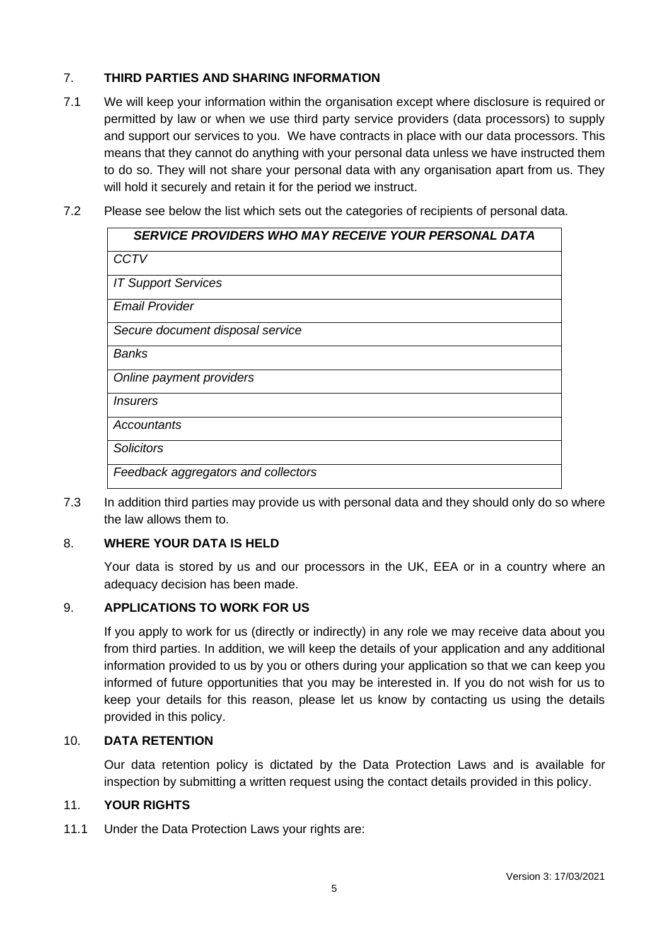# 7. **THIRD PARTIES AND SHARING INFORMATION**

- 7.1 We will keep your information within the organisation except where disclosure is required or permitted by law or when we use third party service providers (data processors) to supply and support our services to you. We have contracts in place with our data processors. This means that they cannot do anything with your personal data unless we have instructed them to do so. They will not share your personal data with any organisation apart from us. They will hold it securely and retain it for the period we instruct.
- 7.2 Please see below the list which sets out the categories of recipients of personal data.

| SERVICE PROVIDERS WHO MAY RECEIVE YOUR PERSONAL DATA |
|------------------------------------------------------|
| <b>CCTV</b>                                          |
| <b>IT Support Services</b>                           |
| <b>Email Provider</b>                                |
| Secure document disposal service                     |
| Banks                                                |
| Online payment providers                             |
| <i>Insurers</i>                                      |
| Accountants                                          |
| <b>Solicitors</b>                                    |
| Feedback aggregators and collectors                  |

7.3 In addition third parties may provide us with personal data and they should only do so where the law allows them to.

# 8. **WHERE YOUR DATA IS HELD**

Your data is stored by us and our processors in the UK, EEA or in a country where an adequacy decision has been made.

# 9. **APPLICATIONS TO WORK FOR US**

If you apply to work for us (directly or indirectly) in any role we may receive data about you from third parties. In addition, we will keep the details of your application and any additional information provided to us by you or others during your application so that we can keep you informed of future opportunities that you may be interested in. If you do not wish for us to keep your details for this reason, please let us know by contacting us using the details provided in this policy.

## 10. **DATA RETENTION**

Our data retention policy is dictated by the Data Protection Laws and is available for inspection by submitting a written request using the contact details provided in this policy.

## 11. **YOUR RIGHTS**

11.1 Under the Data Protection Laws your rights are: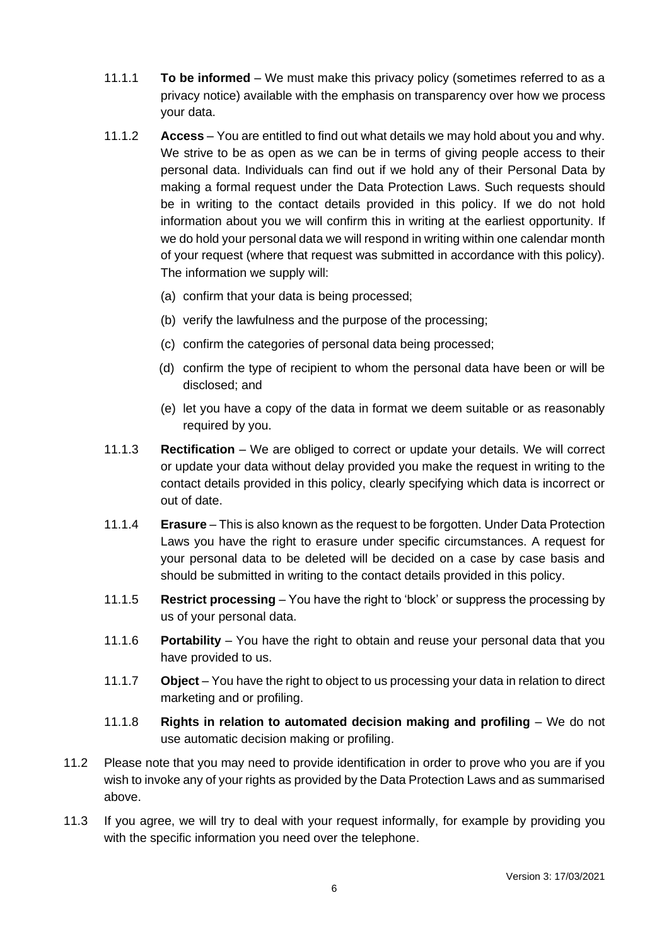- 11.1.1 **To be informed** We must make this privacy policy (sometimes referred to as a privacy notice) available with the emphasis on transparency over how we process your data.
- 11.1.2 **Access** You are entitled to find out what details we may hold about you and why. We strive to be as open as we can be in terms of giving people access to their personal data. Individuals can find out if we hold any of their Personal Data by making a formal request under the Data Protection Laws. Such requests should be in writing to the contact details provided in this policy. If we do not hold information about you we will confirm this in writing at the earliest opportunity. If we do hold your personal data we will respond in writing within one calendar month of your request (where that request was submitted in accordance with this policy). The information we supply will:
	- (a) confirm that your data is being processed;
	- (b) verify the lawfulness and the purpose of the processing;
	- (c) confirm the categories of personal data being processed;
	- (d) confirm the type of recipient to whom the personal data have been or will be disclosed; and
	- (e) let you have a copy of the data in format we deem suitable or as reasonably required by you.
- 11.1.3 **Rectification** We are obliged to correct or update your details. We will correct or update your data without delay provided you make the request in writing to the contact details provided in this policy, clearly specifying which data is incorrect or out of date.
- 11.1.4 **Erasure** This is also known as the request to be forgotten. Under Data Protection Laws you have the right to erasure under specific circumstances. A request for your personal data to be deleted will be decided on a case by case basis and should be submitted in writing to the contact details provided in this policy.
- 11.1.5 **Restrict processing** You have the right to 'block' or suppress the processing by us of your personal data.
- 11.1.6 **Portability** You have the right to obtain and reuse your personal data that you have provided to us.
- 11.1.7 **Object** You have the right to object to us processing your data in relation to direct marketing and or profiling.
- 11.1.8 **Rights in relation to automated decision making and profiling** We do not use automatic decision making or profiling.
- 11.2 Please note that you may need to provide identification in order to prove who you are if you wish to invoke any of your rights as provided by the Data Protection Laws and as summarised above.
- 11.3 If you agree, we will try to deal with your request informally, for example by providing you with the specific information you need over the telephone.